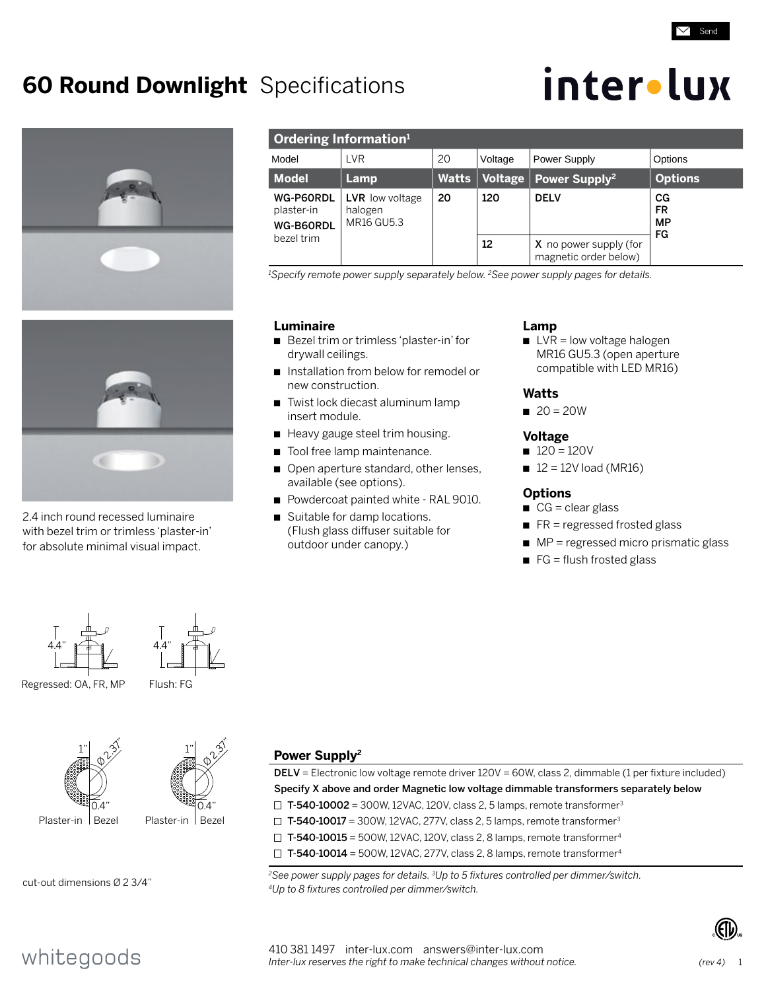# **60 Round Downlight** Specifications







2.4 inch round recessed luminaire with bezel trim or trimless 'plaster-in' for absolute minimal visual impact.

| Ordering Information <sup>1</sup>    |                                          |              |         |                                                 |                                    |  |  |
|--------------------------------------|------------------------------------------|--------------|---------|-------------------------------------------------|------------------------------------|--|--|
| Model                                | LVR                                      | 20           | Voltage | Power Supply                                    | Options                            |  |  |
| <b>Model</b>                         | Lamp                                     | <b>Watts</b> | Voltage | Power Supply <sup>2</sup>                       | <b>Options</b>                     |  |  |
| WG-P60RDL<br>plaster-in<br>WG-B60RDL | LVR low voltage<br>halogen<br>MR16 GU5.3 | 20           | 120     | <b>DELV</b>                                     | CG<br><b>FR</b><br><b>MP</b><br>FG |  |  |
| bezel trim                           |                                          |              | 12      | X no power supply (for<br>magnetic order below) |                                    |  |  |

*1 Specify remote power supply separately below. 2See power supply pages for details.*

### **Luminaire**

- Bezel trim or trimless 'plaster-in' for drywall ceilings.
- n Installation from below for remodel or new construction.
- Twist lock diecast aluminum lamp insert module.
- Heavy gauge steel trim housing.
- Tool free lamp maintenance.
- **p** Open aperture standard, other lenses, available (see options).
- Powdercoat painted white RAL 9010.
- Suitable for damp locations. (Flush glass diffuser suitable for outdoor under canopy.)

# **Lamp**

 $\blacksquare$  LVR = low voltage halogen MR16 GU5.3 (open aperture compatible with LED MR16)

## **Watts**

 $20 = 20W$ 

### **Voltage**

- $120 = 120V$
- $12 = 12V$  load (MR16)

### **Options**

- $CG = clear glass$
- $R =$  regressed frosted glass
- $\rightharpoonup$  MP = regressed micro prismatic glass
- $\blacksquare$  FG = flush frosted glass

 $4.4"$   $4.4"$  $\mathbb{R}^n$ 



### Regressed: OA, FR, MP Flush: FG





cut-out dimensions Ø 2 3/4"

# **Power Supply2**

DELV = Electronic low voltage remote driver 120V = 60W, class 2, dimmable (1 per fixture included) Specify X above and order Magnetic low voltage dimmable transformers separately below  $\Box$  T-540-10002 = 300W, 12VAC, 120V, class 2, 5 lamps, remote transformer<sup>3</sup>  $\Box$  T-540-10017 = 300W, 12VAC, 277V, class 2, 5 lamps, remote transformer<sup>3</sup>  $\Box$  T-540-10015 = 500W, 12VAC, 120V, class 2, 8 lamps, remote transformer<sup>4</sup>  $\Box$  T-540-10014 = 500W, 12VAC, 277V, class 2, 8 lamps, remote transformer<sup>4</sup>

*2See power supply pages for details. 3Up to 5 fixtures controlled per dimmer/switch. 4Up to 8 fixtures controlled per dimmer/switch.* 



# whitegoods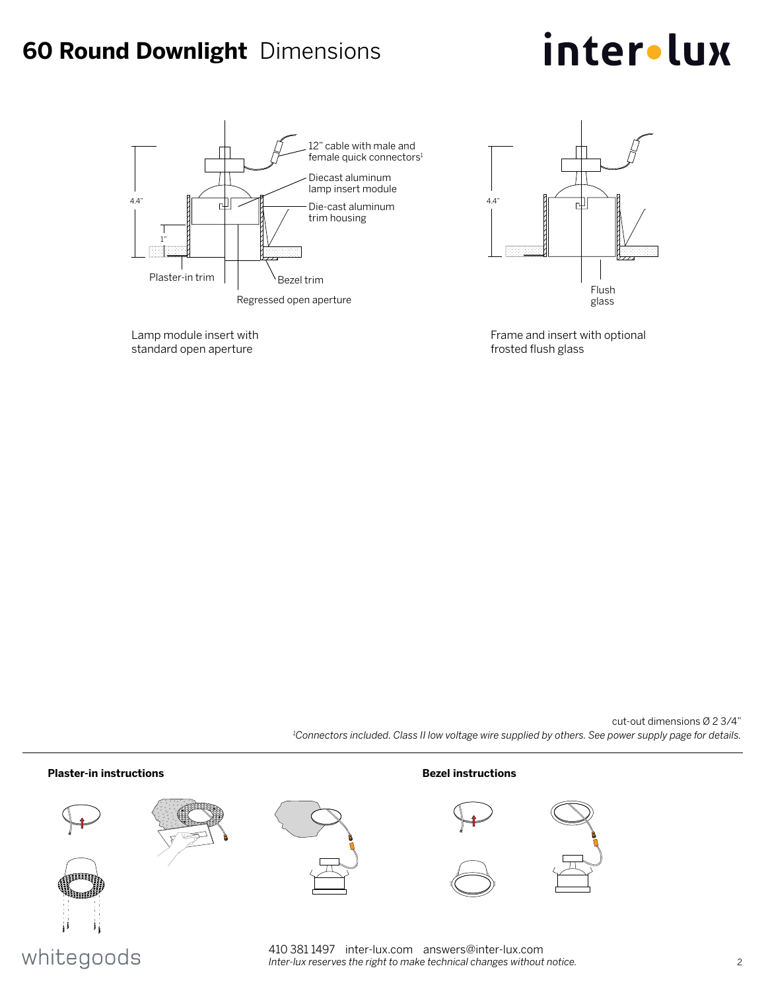# **60 Round Downlight** Dimensions

# inter•lux







Frame and insert with optional frosted flush glass

cut-out dimensions Ø 2 3/4" *1 Connectors included. Class II low voltage wire supplied by others. See power supply page for details.*



# whitegoods

410 381 1497 inter-lux.com answers@inter-lux.com *Inter-lux reserves the right to make technical changes without notice.* 2